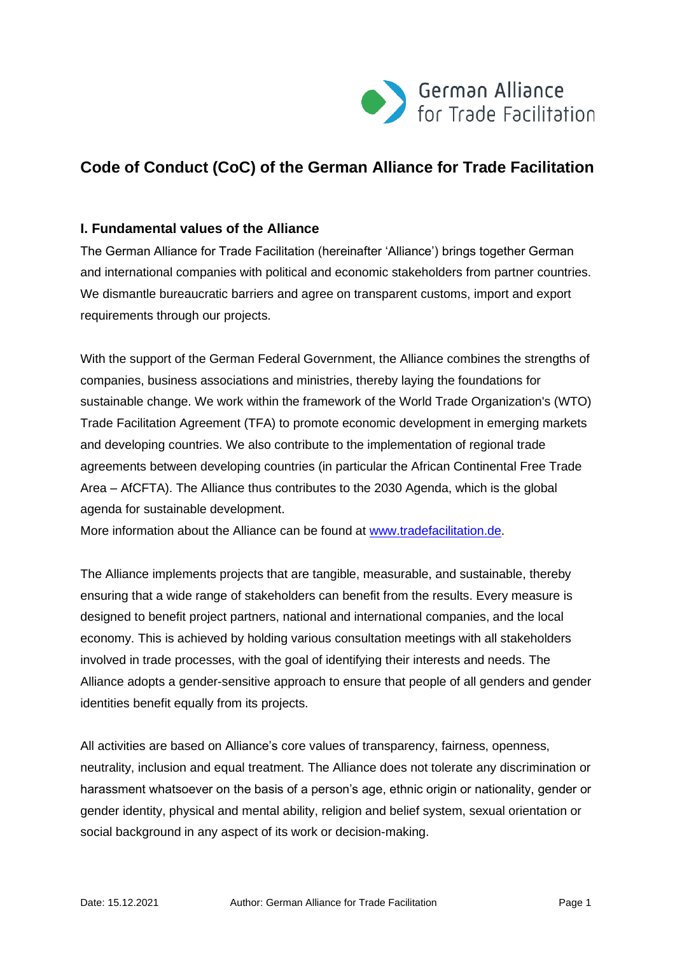

# **Code of Conduct (CoC) of the German Alliance for Trade Facilitation**

#### **I. Fundamental values of the Alliance**

The German Alliance for Trade Facilitation (hereinafter 'Alliance') brings together German and international companies with political and economic stakeholders from partner countries. We dismantle bureaucratic barriers and agree on transparent customs, import and export requirements through our projects.

With the support of the German Federal Government, the Alliance combines the strengths of companies, business associations and ministries, thereby laying the foundations for sustainable change. We work within the framework of the World Trade Organization's (WTO) Trade Facilitation Agreement (TFA) to promote economic development in emerging markets and developing countries. We also contribute to the implementation of regional trade agreements between developing countries (in particular the African Continental Free Trade Area – AfCFTA). The Alliance thus contributes to the 2030 Agenda, which is the global agenda for sustainable development.

More information about the Alliance can be found at [www.tradefacilitation.de.](https://www.tradefacilitation.de/en/)

The Alliance implements projects that are tangible, measurable, and sustainable, thereby ensuring that a wide range of stakeholders can benefit from the results. Every measure is designed to benefit project partners, national and international companies, and the local economy. This is achieved by holding various consultation meetings with all stakeholders involved in trade processes, with the goal of identifying their interests and needs. The Alliance adopts a gender-sensitive approach to ensure that people of all genders and gender identities benefit equally from its projects.

All activities are based on Alliance's core values of transparency, fairness, openness, neutrality, inclusion and equal treatment. The Alliance does not tolerate any discrimination or harassment whatsoever on the basis of a person's age, ethnic origin or nationality, gender or gender identity, physical and mental ability, religion and belief system, sexual orientation or social background in any aspect of its work or decision-making.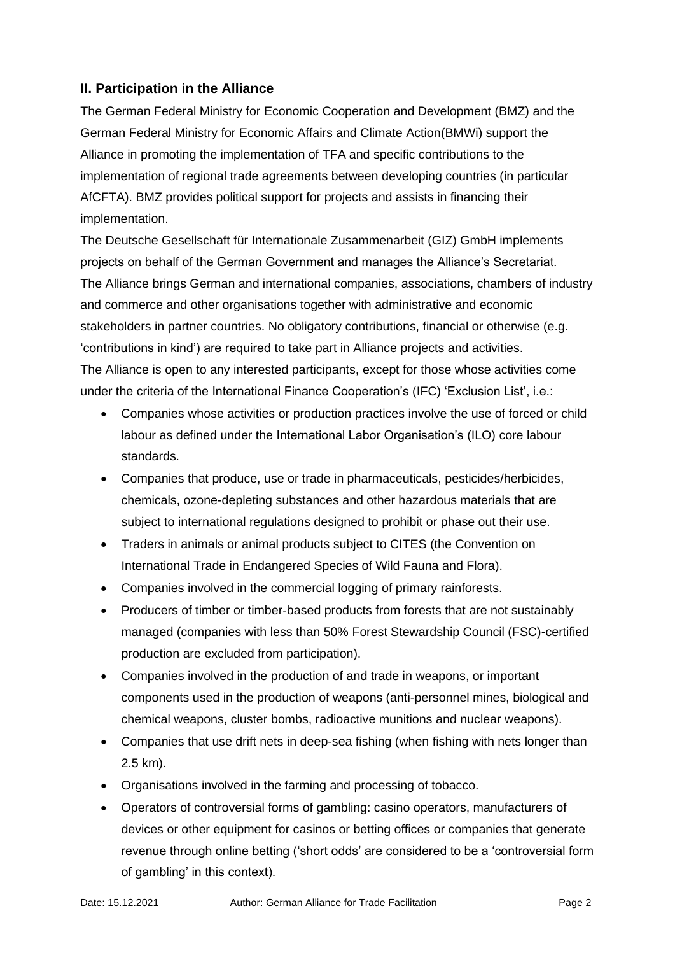## **II. Participation in the Alliance**

The German Federal Ministry for Economic Cooperation and Development (BMZ) and the German Federal Ministry for Economic Affairs and Climate Action(BMWi) support the Alliance in promoting the implementation of TFA and specific contributions to the implementation of regional trade agreements between developing countries (in particular AfCFTA). BMZ provides political support for projects and assists in financing their implementation.

The Deutsche Gesellschaft für Internationale Zusammenarbeit (GIZ) GmbH implements projects on behalf of the German Government and manages the Alliance's Secretariat. The Alliance brings German and international companies, associations, chambers of industry and commerce and other organisations together with administrative and economic stakeholders in partner countries. No obligatory contributions, financial or otherwise (e.g. 'contributions in kind') are required to take part in Alliance projects and activities. The Alliance is open to any interested participants, except for those whose activities come under the criteria of the International Finance Cooperation's (IFC) 'Exclusion List', i.e.:

- Companies whose activities or production practices involve the use of forced or child labour as defined under the International Labor Organisation's (ILO) core labour standards.
- Companies that produce, use or trade in pharmaceuticals, pesticides/herbicides, chemicals, ozone-depleting substances and other hazardous materials that are subject to international regulations designed to prohibit or phase out their use.
- Traders in animals or animal products subject to CITES (the Convention on International Trade in Endangered Species of Wild Fauna and Flora).
- Companies involved in the commercial logging of primary rainforests.
- Producers of timber or timber-based products from forests that are not sustainably managed (companies with less than 50% Forest Stewardship Council (FSC)-certified production are excluded from participation).
- Companies involved in the production of and trade in weapons, or important components used in the production of weapons (anti-personnel mines, biological and chemical weapons, cluster bombs, radioactive munitions and nuclear weapons).
- Companies that use drift nets in deep-sea fishing (when fishing with nets longer than 2.5 km).
- Organisations involved in the farming and processing of tobacco.
- Operators of controversial forms of gambling: casino operators, manufacturers of devices or other equipment for casinos or betting offices or companies that generate revenue through online betting ('short odds' are considered to be a 'controversial form of gambling' in this context).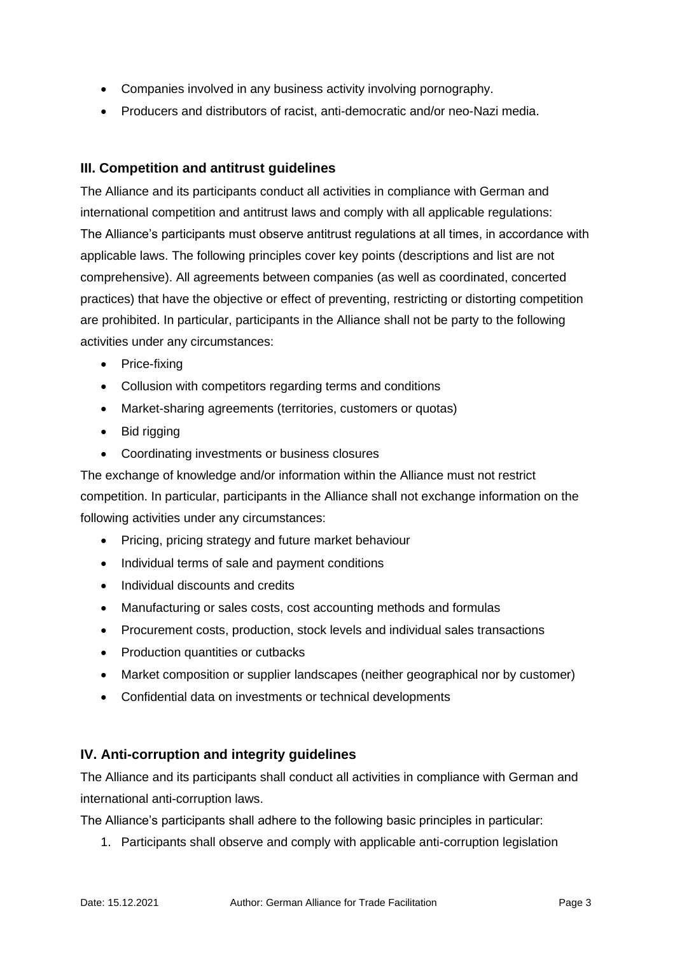- Companies involved in any business activity involving pornography.
- Producers and distributors of racist, anti-democratic and/or neo-Nazi media.

## **III. Competition and antitrust guidelines**

The Alliance and its participants conduct all activities in compliance with German and international competition and antitrust laws and comply with all applicable regulations: The Alliance's participants must observe antitrust regulations at all times, in accordance with applicable laws. The following principles cover key points (descriptions and list are not comprehensive). All agreements between companies (as well as coordinated, concerted practices) that have the objective or effect of preventing, restricting or distorting competition are prohibited. In particular, participants in the Alliance shall not be party to the following activities under any circumstances:

- Price-fixing
- Collusion with competitors regarding terms and conditions
- Market-sharing agreements (territories, customers or quotas)
- Bid rigging
- Coordinating investments or business closures

The exchange of knowledge and/or information within the Alliance must not restrict competition. In particular, participants in the Alliance shall not exchange information on the following activities under any circumstances:

- Pricing, pricing strategy and future market behaviour
- Individual terms of sale and payment conditions
- Individual discounts and credits
- Manufacturing or sales costs, cost accounting methods and formulas
- Procurement costs, production, stock levels and individual sales transactions
- Production quantities or cutbacks
- Market composition or supplier landscapes (neither geographical nor by customer)
- Confidential data on investments or technical developments

#### **IV. Anti-corruption and integrity guidelines**

The Alliance and its participants shall conduct all activities in compliance with German and international anti-corruption laws.

The Alliance's participants shall adhere to the following basic principles in particular:

1. Participants shall observe and comply with applicable anti-corruption legislation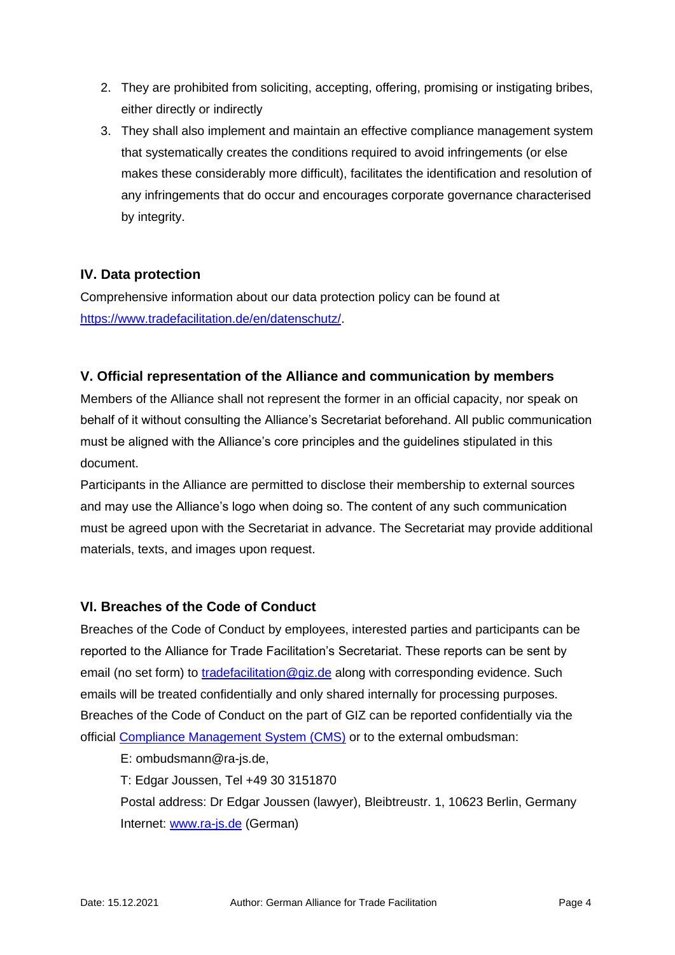- 2. They are prohibited from soliciting, accepting, offering, promising or instigating bribes, either directly or indirectly
- 3. They shall also implement and maintain an effective compliance management system that systematically creates the conditions required to avoid infringements (or else makes these considerably more difficult), facilitates the identification and resolution of any infringements that do occur and encourages corporate governance characterised by integrity.

# **IV. Data protection**

Comprehensive information about our data protection policy can be found at [https://www.tradefacilitation.de/en/datenschutz/.](https://www.tradefacilitation.de/en/datenschutz/)

#### **V. Official representation of the Alliance and communication by members**

Members of the Alliance shall not represent the former in an official capacity, nor speak on behalf of it without consulting the Alliance's Secretariat beforehand. All public communication must be aligned with the Alliance's core principles and the guidelines stipulated in this document.

Participants in the Alliance are permitted to disclose their membership to external sources and may use the Alliance's logo when doing so. The content of any such communication must be agreed upon with the Secretariat in advance. The Secretariat may provide additional materials, texts, and images upon request.

#### **VI. Breaches of the Code of Conduct**

Breaches of the Code of Conduct by employees, interested parties and participants can be reported to the Alliance for Trade Facilitation's Secretariat. These reports can be sent by email (no set form) to [tradefacilitation@giz.de](mailto:tradefacilitation@giz.de) along with corresponding evidence. Such emails will be treated confidentially and only shared internally for processing purposes. Breaches of the Code of Conduct on the part of GIZ can be reported confidentially via the official [Compliance Management System \(CMS\)](https://www.bkms-system.com/bkwebanon/report/clientInfo?cin=26zig7&c=-1&language=eng) or to the external ombudsman:

E: ombudsmann@ra-js.de,

T: Edgar Joussen, Tel +49 30 3151870

Postal address: Dr Edgar Joussen (lawyer), Bleibtreustr. 1, 10623 Berlin, Germany Internet: [www.ra-js.de](http://www.ra-js.de/) (German)